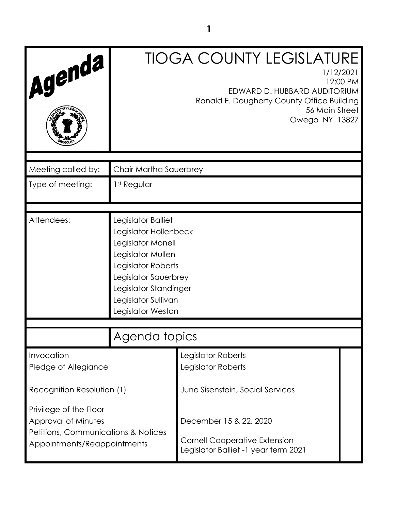| Agenda                                                                                                              |                                                                                                                                                                                                          | <b>TIOGA COUNTY LEGISLATURE</b><br>1/12/2021<br>12:00 PM<br>EDWARD D. HUBBARD AUDITORIUM<br>Ronald E. Dougherty County Office Building<br>56 Main Street<br>Owego NY 13827 |  |
|---------------------------------------------------------------------------------------------------------------------|----------------------------------------------------------------------------------------------------------------------------------------------------------------------------------------------------------|----------------------------------------------------------------------------------------------------------------------------------------------------------------------------|--|
| Meeting called by:                                                                                                  | Chair Martha Sauerbrey                                                                                                                                                                                   |                                                                                                                                                                            |  |
| Type of meeting:                                                                                                    | 1st Regular                                                                                                                                                                                              |                                                                                                                                                                            |  |
|                                                                                                                     |                                                                                                                                                                                                          |                                                                                                                                                                            |  |
| Attendees:                                                                                                          | Legislator Balliet<br>Legislator Hollenbeck<br>Legislator Monell<br>Legislator Mullen<br>Legislator Roberts<br>Legislator Sauerbrey<br>Legislator Standinger<br>Legislator Sullivan<br>Legislator Weston |                                                                                                                                                                            |  |
|                                                                                                                     | Agenda topics                                                                                                                                                                                            |                                                                                                                                                                            |  |
|                                                                                                                     |                                                                                                                                                                                                          |                                                                                                                                                                            |  |
| Invocation<br>Pledge of Allegiance                                                                                  |                                                                                                                                                                                                          | Legislator Roberts<br>Legislator Roberts                                                                                                                                   |  |
| Recognition Resolution (1)                                                                                          |                                                                                                                                                                                                          | June Sisenstein, Social Services                                                                                                                                           |  |
| Privilege of the Floor<br>Approval of Minutes<br>Petitions, Communications & Notices<br>Appointments/Reappointments |                                                                                                                                                                                                          | December 15 & 22, 2020<br><b>Cornell Cooperative Extension-</b><br>Legislator Balliet -1 year term 2021                                                                    |  |

**1**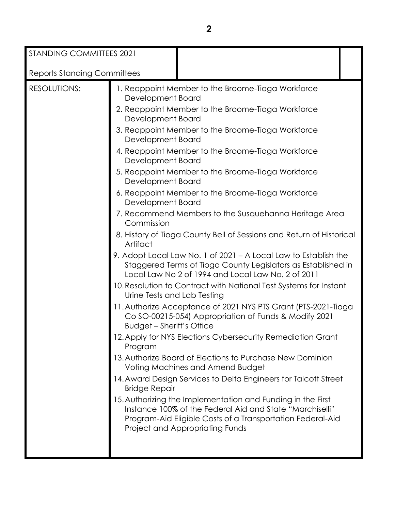| STANDING COMMITTEES 2021           |                                                                                                                                                                                                                                                                                                                                                                                                                                                                                                                                                                                                                                                                                                                                                                                                                                                                                                                                                                                                                                                                                                                                                                                                                                                                                                                                                                                                                                                                                                                                                                                    |
|------------------------------------|------------------------------------------------------------------------------------------------------------------------------------------------------------------------------------------------------------------------------------------------------------------------------------------------------------------------------------------------------------------------------------------------------------------------------------------------------------------------------------------------------------------------------------------------------------------------------------------------------------------------------------------------------------------------------------------------------------------------------------------------------------------------------------------------------------------------------------------------------------------------------------------------------------------------------------------------------------------------------------------------------------------------------------------------------------------------------------------------------------------------------------------------------------------------------------------------------------------------------------------------------------------------------------------------------------------------------------------------------------------------------------------------------------------------------------------------------------------------------------------------------------------------------------------------------------------------------------|
| <b>Reports Standing Committees</b> |                                                                                                                                                                                                                                                                                                                                                                                                                                                                                                                                                                                                                                                                                                                                                                                                                                                                                                                                                                                                                                                                                                                                                                                                                                                                                                                                                                                                                                                                                                                                                                                    |
| RESOLUTIONS:                       | 1. Reappoint Member to the Broome-Tioga Workforce<br>Development Board<br>2. Reappoint Member to the Broome-Tioga Workforce<br>Development Board<br>3. Reappoint Member to the Broome-Tioga Workforce<br>Development Board<br>4. Reappoint Member to the Broome-Tioga Workforce<br>Development Board<br>5. Reappoint Member to the Broome-Tioga Workforce<br>Development Board<br>6. Reappoint Member to the Broome-Tioga Workforce<br>Development Board<br>7. Recommend Members to the Susquehanna Heritage Area<br>Commission<br>8. History of Tioga County Bell of Sessions and Return of Historical<br>Artifact<br>9. Adopt Local Law No. 1 of 2021 - A Local Law to Establish the<br>Staggered Terms of Tioga County Legislators as Established in<br>Local Law No 2 of 1994 and Local Law No. 2 of 2011<br>10. Resolution to Contract with National Test Systems for Instant<br>Urine Tests and Lab Testing<br>11. Authorize Acceptance of 2021 NYS PTS Grant (PTS-2021-Tioga<br>Co SO-00215-054) Appropriation of Funds & Modify 2021<br><b>Budget - Sheriff's Office</b><br>12. Apply for NYS Elections Cybersecurity Remediation Grant<br>Program<br>13. Authorize Board of Elections to Purchase New Dominion<br>Voting Machines and Amend Budget<br>14. Award Design Services to Delta Engineers for Talcott Street<br><b>Bridge Repair</b><br>15. Authorizing the Implementation and Funding in the First<br>Instance 100% of the Federal Aid and State "Marchiselli"<br>Program-Aid Eligible Costs of a Transportation Federal-Aid<br>Project and Appropriating Funds |
|                                    |                                                                                                                                                                                                                                                                                                                                                                                                                                                                                                                                                                                                                                                                                                                                                                                                                                                                                                                                                                                                                                                                                                                                                                                                                                                                                                                                                                                                                                                                                                                                                                                    |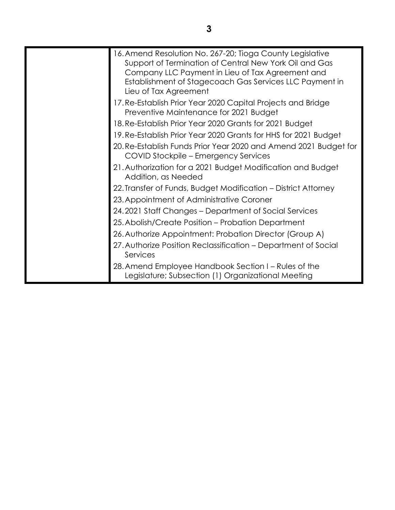| 16. Amend Resolution No. 267-20; Tioga County Legislative                                                  |
|------------------------------------------------------------------------------------------------------------|
| Support of Termination of Central New York Oil and Gas                                                     |
| Company LLC Payment in Lieu of Tax Agreement and                                                           |
| Establishment of Stagecoach Gas Services LLC Payment in<br>Lieu of Tax Agreement                           |
| 17. Re-Establish Prior Year 2020 Capital Projects and Bridge<br>Preventive Maintenance for 2021 Budget     |
| 18. Re-Establish Prior Year 2020 Grants for 2021 Budget                                                    |
| 19. Re-Establish Prior Year 2020 Grants for HHS for 2021 Budget                                            |
| 20. Re-Establish Funds Prior Year 2020 and Amend 2021 Budget for<br>COVID Stockpile – Emergency Services   |
| 21. Authorization for a 2021 Budget Modification and Budget<br>Addition, as Needed                         |
| 22. Transfer of Funds, Budget Modification - District Attorney                                             |
| 23. Appointment of Administrative Coroner                                                                  |
| 24.2021 Staff Changes – Department of Social Services                                                      |
| 25. Abolish/Create Position - Probation Department                                                         |
| 26. Authorize Appointment: Probation Director (Group A)                                                    |
| 27. Authorize Position Reclassification - Department of Social<br>Services                                 |
| 28. Amend Employee Handbook Section I – Rules of the<br>Legislature; Subsection (1) Organizational Meeting |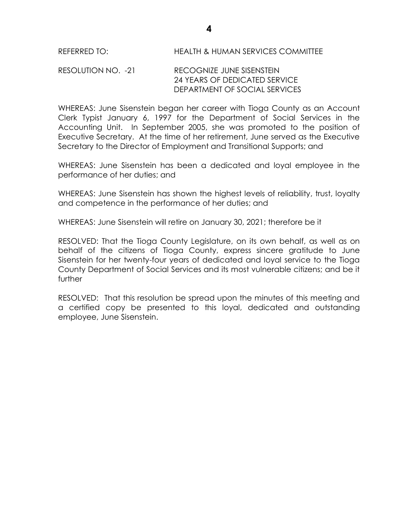# RESOLUTION NO. -21 RECOGNIZE JUNE SISENSTEIN 24 YEARS OF DEDICATED SERVICE DEPARTMENT OF SOCIAL SERVICES

WHEREAS: June Sisenstein began her career with Tioga County as an Account Clerk Typist January 6, 1997 for the Department of Social Services in the Accounting Unit. In September 2005, she was promoted to the position of Executive Secretary. At the time of her retirement, June served as the Executive Secretary to the Director of Employment and Transitional Supports; and

WHEREAS: June Sisenstein has been a dedicated and loyal employee in the performance of her duties; and

WHEREAS: June Sisenstein has shown the highest levels of reliability, trust, loyalty and competence in the performance of her duties; and

WHEREAS: June Sisenstein will retire on January 30, 2021; therefore be it

RESOLVED: That the Tioga County Legislature, on its own behalf, as well as on behalf of the citizens of Tioga County, express sincere gratitude to June Sisenstein for her twenty-four years of dedicated and loyal service to the Tioga County Department of Social Services and its most vulnerable citizens; and be it further

RESOLVED: That this resolution be spread upon the minutes of this meeting and a certified copy be presented to this loyal, dedicated and outstanding employee, June Sisenstein.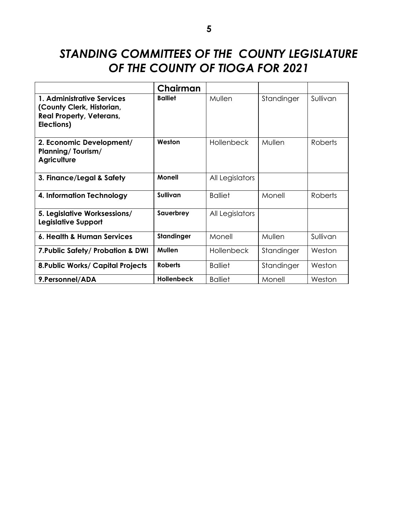# *STANDING COMMITTEES OF THE COUNTY LEGISLATURE OF THE COUNTY OF TIOGA FOR 2021*

|                                                                                                          | Chairman          |                   |            |                |
|----------------------------------------------------------------------------------------------------------|-------------------|-------------------|------------|----------------|
| 1. Administrative Services<br>(County Clerk, Historian,<br><b>Real Property, Veterans,</b><br>Elections) | <b>Balliet</b>    | Mullen            | Standinger | Sullivan       |
| 2. Economic Development/<br><b>Planning/Tourism/</b><br><b>Agriculture</b>                               | Weston            | <b>Hollenbeck</b> | Mullen     | <b>Roberts</b> |
| 3. Finance/Legal & Safety                                                                                | Monell            | All Legislators   |            |                |
| 4. Information Technology                                                                                | Sullivan          | <b>Balliet</b>    | Monell     | <b>Roberts</b> |
| 5. Legislative Worksessions/<br><b>Legislative Support</b>                                               | Sauerbrey         | All Legislators   |            |                |
| 6. Health & Human Services                                                                               | <b>Standinger</b> | Monell            | Mullen     | Sullivan       |
| 7. Public Safety/ Probation & DWI                                                                        | <b>Mullen</b>     | <b>Hollenbeck</b> | Standinger | Weston         |
| <b>8. Public Works/ Capital Projects</b>                                                                 | <b>Roberts</b>    | <b>Balliet</b>    | Standinger | Weston         |
| 9. Personnel/ADA                                                                                         | <b>Hollenbeck</b> | <b>Balliet</b>    | Monell     | Weston         |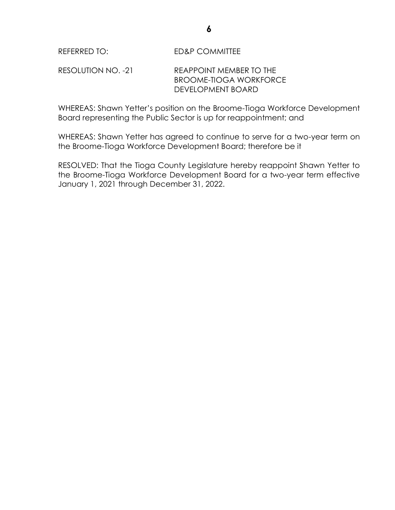WHEREAS: Shawn Yetter's position on the Broome-Tioga Workforce Development Board representing the Public Sector is up for reappointment; and

WHEREAS: Shawn Yetter has agreed to continue to serve for a two-year term on the Broome-Tioga Workforce Development Board; therefore be it

RESOLVED: That the Tioga County Legislature hereby reappoint Shawn Yetter to the Broome-Tioga Workforce Development Board for a two-year term effective January 1, 2021 through December 31, 2022.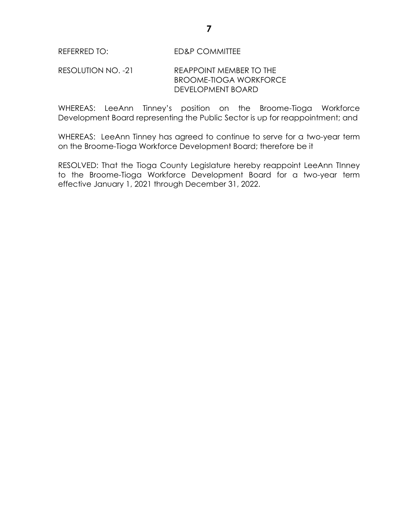# REFERRED TO: ED&P COMMITTEE

# RESOLUTION NO. -21 REAPPOINT MEMBER TO THE BROOME-TIOGA WORKFORCE DEVELOPMENT BOARD

WHEREAS: LeeAnn Tinney's position on the Broome-Tioga Workforce Development Board representing the Public Sector is up for reappointment; and

WHEREAS: LeeAnn Tinney has agreed to continue to serve for a two-year term on the Broome-Tioga Workforce Development Board; therefore be it

RESOLVED: That the Tioga County Legislature hereby reappoint LeeAnn TInney to the Broome-Tioga Workforce Development Board for a two-year term effective January 1, 2021 through December 31, 2022.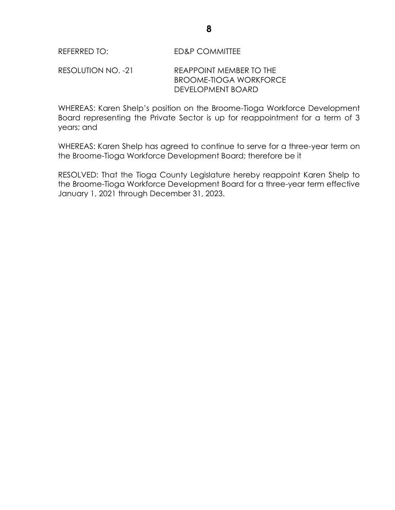WHEREAS: Karen Shelp's position on the Broome-Tioga Workforce Development Board representing the Private Sector is up for reappointment for a term of 3 years; and

WHEREAS: Karen Shelp has agreed to continue to serve for a three-year term on the Broome-Tioga Workforce Development Board; therefore be it

RESOLVED: That the Tioga County Legislature hereby reappoint Karen Shelp to the Broome-Tioga Workforce Development Board for a three-year term effective January 1, 2021 through December 31, 2023.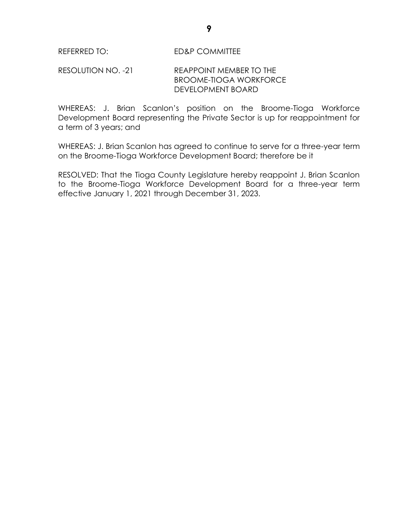WHEREAS: J. Brian Scanlon's position on the Broome-Tioga Workforce Development Board representing the Private Sector is up for reappointment for a term of 3 years; and

WHEREAS: J. Brian Scanlon has agreed to continue to serve for a three-year term on the Broome-Tioga Workforce Development Board; therefore be it

RESOLVED: That the Tioga County Legislature hereby reappoint J. Brian Scanlon to the Broome-Tioga Workforce Development Board for a three-year term effective January 1, 2021 through December 31, 2023.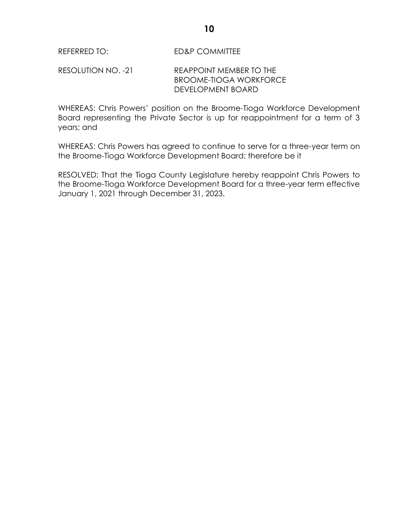WHEREAS: Chris Powers' position on the Broome-Tioga Workforce Development Board representing the Private Sector is up for reappointment for a term of 3 years; and

WHEREAS: Chris Powers has agreed to continue to serve for a three-year term on the Broome-Tioga Workforce Development Board; therefore be it

RESOLVED: That the Tioga County Legislature hereby reappoint Chris Powers to the Broome-Tioga Workforce Development Board for a three-year term effective January 1, 2021 through December 31, 2023.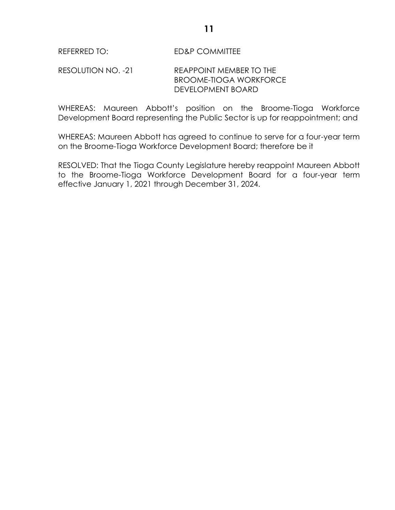# REFERRED TO: ED&P COMMITTEE

# RESOLUTION NO. -21 REAPPOINT MEMBER TO THE BROOME-TIOGA WORKFORCE DEVELOPMENT BOARD

WHEREAS: Maureen Abbott's position on the Broome-Tioga Workforce Development Board representing the Public Sector is up for reappointment; and

WHEREAS: Maureen Abbott has agreed to continue to serve for a four-year term on the Broome-Tioga Workforce Development Board; therefore be it

RESOLVED: That the Tioga County Legislature hereby reappoint Maureen Abbott to the Broome-Tioga Workforce Development Board for a four-year term effective January 1, 2021 through December 31, 2024.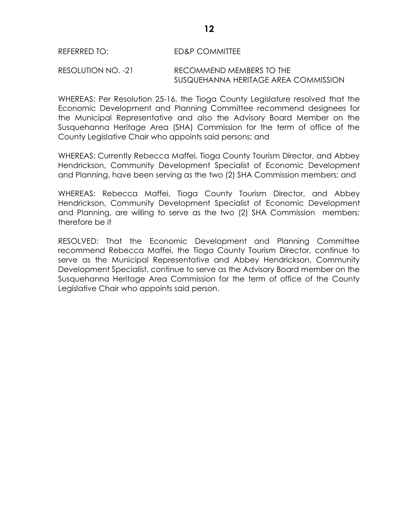#### REFERRED TO: ED&P COMMITTEE

#### RESOLUTION NO. -21 RECOMMEND MEMBERS TO THE SUSQUEHANNA HERITAGE AREA COMMISSION

WHEREAS: Per Resolution 25-16, the Tioga County Legislature resolved that the Economic Development and Planning Committee recommend designees for the Municipal Representative and also the Advisory Board Member on the Susquehanna Heritage Area (SHA) Commission for the term of office of the County Legislative Chair who appoints said persons; and

WHEREAS: Currently Rebecca Maffei, Tioga County Tourism Director, and Abbey Hendrickson, Community Development Specialist of Economic Development and Planning, have been serving as the two (2) SHA Commission members; and

WHEREAS: Rebecca Maffei, Tioga County Tourism Director, and Abbey Hendrickson, Community Development Specialist of Economic Development and Planning, are willing to serve as the two (2) SHA Commission members; therefore be it

RESOLVED: That the Economic Development and Planning Committee recommend Rebecca Maffei, the Tioga County Tourism Director, continue to serve as the Municipal Representative and Abbey Hendrickson, Community Development Specialist, continue to serve as the Advisory Board member on the Susquehanna Heritage Area Commission for the term of office of the County Legislative Chair who appoints said person.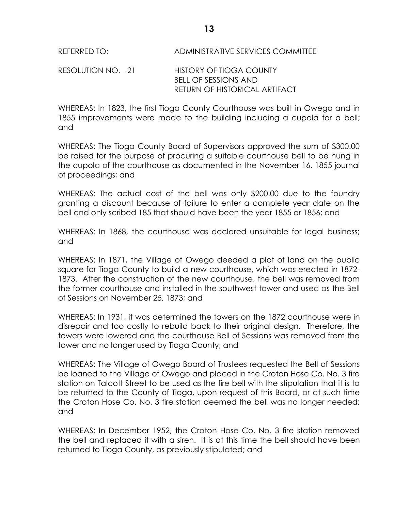# REFERRED TO: ADMINISTRATIVE SERVICES COMMITTEE

#### RESOLUTION NO. -21 HISTORY OF TIOGA COUNTY BELL OF SESSIONS AND RETURN OF HISTORICAL ARTIFACT

WHEREAS: In 1823, the first Tioga County Courthouse was built in Owego and in 1855 improvements were made to the building including a cupola for a bell; and

WHEREAS: The Tioga County Board of Supervisors approved the sum of \$300.00 be raised for the purpose of procuring a suitable courthouse bell to be hung in the cupola of the courthouse as documented in the November 16, 1855 journal of proceedings; and

WHEREAS: The actual cost of the bell was only \$200.00 due to the foundry granting a discount because of failure to enter a complete year date on the bell and only scribed 185 that should have been the year 1855 or 1856; and

WHEREAS: In 1868, the courthouse was declared unsuitable for legal business; and

WHEREAS: In 1871, the Village of Owego deeded a plot of land on the public square for Tioga County to build a new courthouse, which was erected in 1872- 1873. After the construction of the new courthouse, the bell was removed from the former courthouse and installed in the southwest tower and used as the Bell of Sessions on November 25, 1873; and

WHEREAS: In 1931, it was determined the towers on the 1872 courthouse were in disrepair and too costly to rebuild back to their original design. Therefore, the towers were lowered and the courthouse Bell of Sessions was removed from the tower and no longer used by Tioga County; and

WHEREAS: The Village of Owego Board of Trustees requested the Bell of Sessions be loaned to the Village of Owego and placed in the Croton Hose Co. No. 3 fire station on Talcott Street to be used as the fire bell with the stipulation that it is to be returned to the County of Tioga, upon request of this Board, or at such time the Croton Hose Co. No. 3 fire station deemed the bell was no longer needed; and

WHEREAS: In December 1952, the Croton Hose Co. No. 3 fire station removed the bell and replaced it with a siren. It is at this time the bell should have been returned to Tioga County, as previously stipulated; and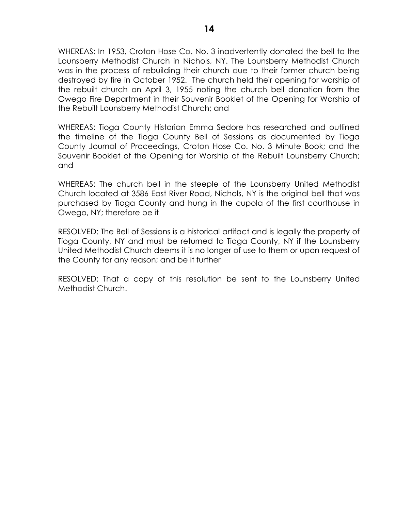WHEREAS: In 1953, Croton Hose Co. No. 3 inadvertently donated the bell to the Lounsberry Methodist Church in Nichols, NY. The Lounsberry Methodist Church was in the process of rebuilding their church due to their former church being destroyed by fire in October 1952. The church held their opening for worship of the rebuilt church on April 3, 1955 noting the church bell donation from the Owego Fire Department in their Souvenir Booklet of the Opening for Worship of the Rebuilt Lounsberry Methodist Church; and

WHEREAS: Tioga County Historian Emma Sedore has researched and outlined the timeline of the Tioga County Bell of Sessions as documented by Tioga County Journal of Proceedings, Croton Hose Co. No. 3 Minute Book; and the Souvenir Booklet of the Opening for Worship of the Rebuilt Lounsberry Church; and

WHEREAS: The church bell in the steeple of the Lounsberry United Methodist Church located at 3586 East River Road, Nichols, NY is the original bell that was purchased by Tioga County and hung in the cupola of the first courthouse in Owego, NY; therefore be it

RESOLVED: The Bell of Sessions is a historical artifact and is legally the property of Tioga County, NY and must be returned to Tioga County, NY if the Lounsberry United Methodist Church deems it is no longer of use to them or upon request of the County for any reason; and be it further

RESOLVED: That a copy of this resolution be sent to the Lounsberry United Methodist Church.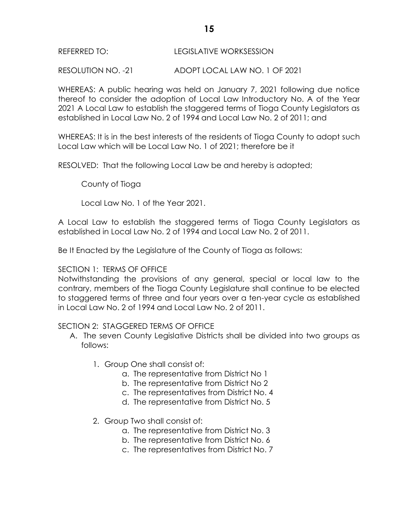# REFERRED TO: LEGISLATIVE WORKSESSION

RESOLUTION NO. -21 ADOPT LOCAL LAW NO. 1 OF 2021

WHEREAS: A public hearing was held on January 7, 2021 following due notice thereof to consider the adoption of Local Law Introductory No. A of the Year 2021 A Local Law to establish the staggered terms of Tioga County Legislators as established in Local Law No. 2 of 1994 and Local Law No. 2 of 2011; and

WHEREAS: It is in the best interests of the residents of Tioga County to adopt such Local Law which will be Local Law No. 1 of 2021; therefore be it

RESOLVED: That the following Local Law be and hereby is adopted;

County of Tioga

Local Law No. 1 of the Year 2021.

A Local Law to establish the staggered terms of Tioga County Legislators as established in Local Law No. 2 of 1994 and Local Law No. 2 of 2011.

Be It Enacted by the Legislature of the County of Tioga as follows:

# SECTION 1: TERMS OF OFFICE

Notwithstanding the provisions of any general, special or local law to the contrary, members of the Tioga County Legislature shall continue to be elected to staggered terms of three and four years over a ten-year cycle as established in Local Law No. 2 of 1994 and Local Law No. 2 of 2011.

# SECTION 2: STAGGERED TERMS OF OFFICE

- A. The seven County Legislative Districts shall be divided into two groups as follows:
	- 1. Group One shall consist of:
		- a. The representative from District No 1
		- b. The representative from District No 2
		- c. The representatives from District No. 4
		- d. The representative from District No. 5
	- 2. Group Two shall consist of:
		- a. The representative from District No. 3
		- b. The representative from District No. 6
		- c. The representatives from District No. 7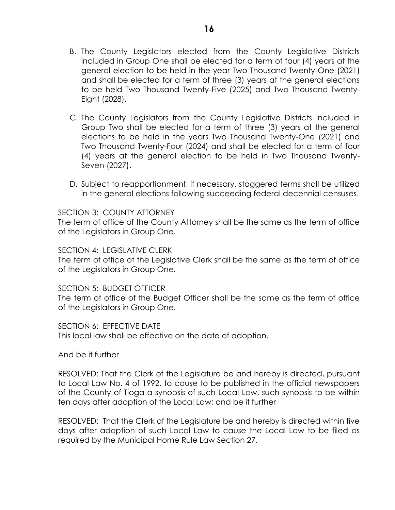- B. The County Legislators elected from the County Legislative Districts included in Group One shall be elected for a term of four (4) years at the general election to be held in the year Two Thousand Twenty-One (2021) and shall be elected for a term of three (3) years at the general elections to be held Two Thousand Twenty-Five (2025) and Two Thousand Twenty-Eight (2028).
- C. The County Legislators from the County Legislative Districts included in Group Two shall be elected for a term of three (3) years at the general elections to be held in the years Two Thousand Twenty-One (2021) and Two Thousand Twenty-Four (2024) and shall be elected for a term of four (4) years at the general election to be held in Two Thousand Twenty-Seven (2027).
- D. Subject to reapportionment, if necessary, staggered terms shall be utilized in the general elections following succeeding federal decennial censuses.

#### SECTION 3: COUNTY ATTORNEY

The term of office of the County Attorney shall be the same as the term of office of the Legislators in Group One.

#### SECTION 4: LEGISLATIVE CLERK

The term of office of the Legislative Clerk shall be the same as the term of office of the Legislators in Group One.

#### SECTION 5: BUDGET OFFICER

The term of office of the Budget Officer shall be the same as the term of office of the Legislators in Group One.

SECTION 6: EFFECTIVE DATE

This local law shall be effective on the date of adoption.

And be it further

RESOLVED: That the Clerk of the Legislature be and hereby is directed, pursuant to Local Law No. 4 of 1992, to cause to be published in the official newspapers of the County of Tioga a synopsis of such Local Law, such synopsis to be within ten days after adoption of the Local Law; and be it further

RESOLVED: That the Clerk of the Legislature be and hereby is directed within five days after adoption of such Local Law to cause the Local Law to be filed as required by the Municipal Home Rule Law Section 27.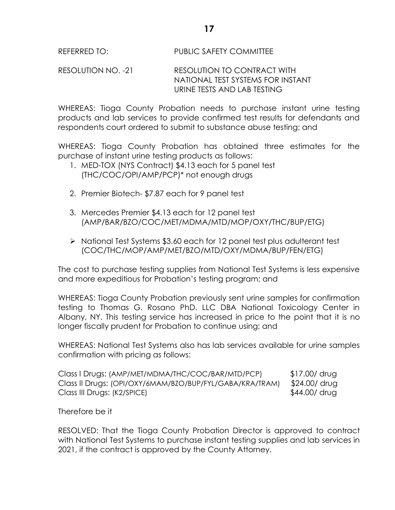RESOLUTION NO. -21 RESOLUTION TO CONTRACT WITH NATIONAL TEST SYSTEMS FOR INSTANT URINE TESTS AND LAB TESTING

WHEREAS: Tioga County Probation needs to purchase instant urine testing products and lab services to provide confirmed test results for defendants and respondents court ordered to submit to substance abuse testing; and

WHEREAS: Tioga County Probation has obtained three estimates for the purchase of instant urine testing products as follows:

- 1. MED-TOX (NYS Contract) \$4.13 each for 5 panel test (THC/COC/OPI/AMP/PCP)\* not enough drugs
- 2. Premier Biotech- \$7.87 each for 9 panel test
- 3. Mercedes Premier \$4.13 each for 12 panel test (AMP/BAR/BZO/COC/MET/MDMA/MTD/MOP/OXY/THC/BUP/ETG)
- > National Test Systems \$3.60 each for 12 panel test plus adulterant test (COC/THC/MOP/AMP/MET/BZO/MTD/OXY/MDMA/BUP/FEN/ETG)

The cost to purchase testing supplies from National Test Systems is less expensive and more expeditious for Probation's testing program; and

WHEREAS: Tioga County Probation previously sent urine samples for confirmation testing to Thomas G. Rosano PhD. LLC DBA National Toxicology Center in Albany, NY. This testing service has increased in price to the point that it is no longer fiscally prudent for Probation to continue using; and

WHEREAS: National Test Systems also has lab services available for urine samples confirmation with pricing as follows:

| Class I Drugs: (AMP/MET/MDMA/THC/COC/BAR/MTD/PCP)        | \$17.00/ drug |
|----------------------------------------------------------|---------------|
| Class II Drugs: (OPI/OXY/6MAM/BZO/BUP/FYL/GABA/KRA/TRAM) | \$24.00/ drug |
| Class III Drugs: (K2/SPICE)                              | \$44.00/ drug |

Therefore be it

RESOLVED: That the Tioga County Probation Director is approved to contract with National Test Systems to purchase instant testing supplies and lab services in 2021, if the contract is approved by the County Attorney.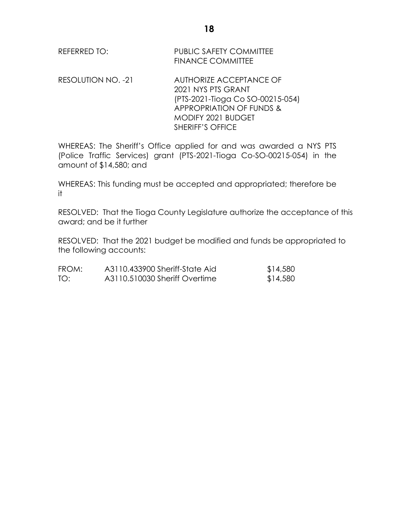| REFERRED TO: | <b>PUBLIC SAFETY COMMITTEE</b> |  |  |  |
|--------------|--------------------------------|--|--|--|
|              | <b>FINANCE COMMITTEE</b>       |  |  |  |

RESOLUTION NO. -21 AUTHORIZE ACCEPTANCE OF 2021 NYS PTS GRANT (PTS-2021-Tioga Co SO-00215-054) APPROPRIATION OF FUNDS & MODIFY 2021 BUDGET SHERIFF'S OFFICE

WHEREAS: The Sheriff's Office applied for and was awarded a NYS PTS (Police Traffic Services) grant (PTS-2021-Tioga Co-SO-00215-054) in the amount of \$14,580; and

WHEREAS: This funding must be accepted and appropriated; therefore be it

RESOLVED: That the Tioga County Legislature authorize the acceptance of this award; and be it further

RESOLVED: That the 2021 budget be modified and funds be appropriated to the following accounts:

| FROM: | A3110.433900 Sheriff-State Aid | \$14,580 |
|-------|--------------------------------|----------|
| TO:   | A3110.510030 Sheriff Overtime  | \$14,580 |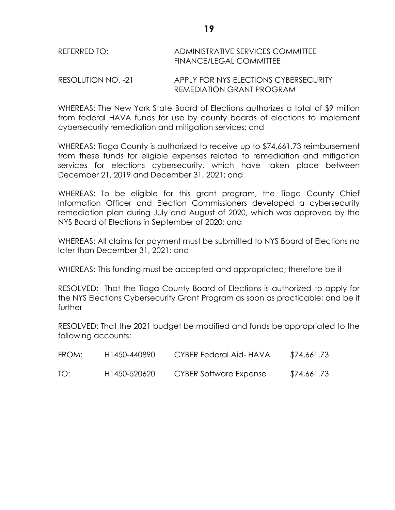# REFERRED TO: ADMINISTRATIVE SERVICES COMMITTEE FINANCE/LEGAL COMMITTEE

RESOLUTION NO. -21 APPLY FOR NYS ELECTIONS CYBERSECURITY REMEDIATION GRANT PROGRAM

WHEREAS: The New York State Board of Elections authorizes a total of \$9 million from federal HAVA funds for use by county boards of elections to implement cybersecurity remediation and mitigation services; and

WHEREAS: Tioga County is authorized to receive up to \$74,661.73 reimbursement from these funds for eligible expenses related to remediation and mitigation services for elections cybersecurity, which have taken place between December 21, 2019 and December 31, 2021; and

WHEREAS: To be eligible for this grant program, the Tioga County Chief Information Officer and Election Commissioners developed a cybersecurity remediation plan during July and August of 2020, which was approved by the NYS Board of Elections in September of 2020; and

WHEREAS: All claims for payment must be submitted to NYS Board of Elections no later than December 31, 2021; and

WHEREAS: This funding must be accepted and appropriated; therefore be it

RESOLVED: That the Tioga County Board of Elections is authorized to apply for the NYS Elections Cybersecurity Grant Program as soon as practicable; and be it further

RESOLVED: That the 2021 budget be modified and funds be appropriated to the following accounts:

| FROM: | H <sub>1450</sub> -440890 | CYBER Federal Aid-HAVA | \$74,661.73 |
|-------|---------------------------|------------------------|-------------|
| TO:   | H1450-520620              | CYBER Software Expense | \$74,661.73 |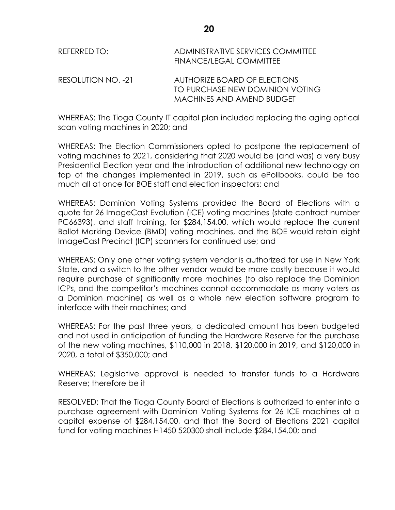| REFERRED TO:       | ADMINISTRATIVE SERVICES COMMITTEE<br><b>FINANCE/LEGAL COMMITTEE</b> |
|--------------------|---------------------------------------------------------------------|
| RESOLUTION NO. -21 | AUTHORIZE BOARD OF ELECTIONS                                        |
|                    | TO PURCHASE NEW DOMINION VOTING                                     |
|                    | MACHINES AND AMEND BUDGET                                           |

WHEREAS: The Tioga County IT capital plan included replacing the aging optical scan voting machines in 2020; and

WHEREAS: The Election Commissioners opted to postpone the replacement of voting machines to 2021, considering that 2020 would be (and was) a very busy Presidential Election year and the introduction of additional new technology on top of the changes implemented in 2019, such as ePollbooks, could be too much all at once for BOE staff and election inspectors; and

WHEREAS: Dominion Voting Systems provided the Board of Elections with a quote for 26 ImageCast Evolution (ICE) voting machines (state contract number PC66393), and staff training, for \$284,154.00, which would replace the current Ballot Marking Device (BMD) voting machines, and the BOE would retain eight ImageCast Precinct (ICP) scanners for continued use; and

WHEREAS: Only one other voting system vendor is authorized for use in New York State, and a switch to the other vendor would be more costly because it would require purchase of significantly more machines (to also replace the Dominion ICPs, and the competitor's machines cannot accommodate as many voters as a Dominion machine) as well as a whole new election software program to interface with their machines; and

WHEREAS: For the past three years, a dedicated amount has been budgeted and not used in anticipation of funding the Hardware Reserve for the purchase of the new voting machines, \$110,000 in 2018, \$120,000 in 2019, and \$120,000 in 2020, a total of \$350,000; and

WHEREAS: Legislative approval is needed to transfer funds to a Hardware Reserve; therefore be it

RESOLVED: That the Tioga County Board of Elections is authorized to enter into a purchase agreement with Dominion Voting Systems for 26 ICE machines at a capital expense of \$284,154.00, and that the Board of Elections 2021 capital fund for voting machines H1450 520300 shall include \$284,154.00; and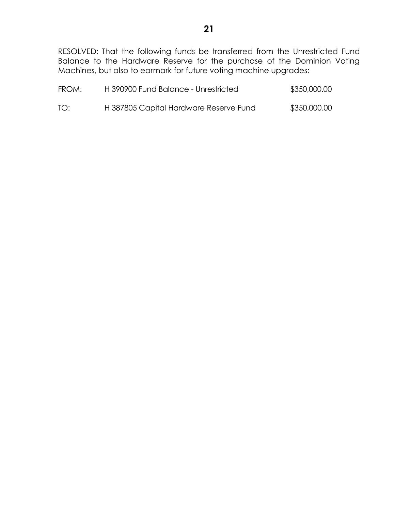RESOLVED: That the following funds be transferred from the Unrestricted Fund Balance to the Hardware Reserve for the purchase of the Dominion Voting Machines, but also to earmark for future voting machine upgrades:

| FROM: | H 390900 Fund Balance - Unrestricted   | \$350,000.00 |
|-------|----------------------------------------|--------------|
| TO:   | H 387805 Capital Hardware Reserve Fund | \$350,000.00 |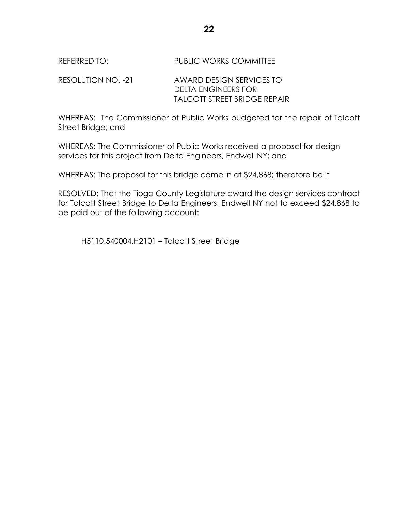# REFERRED TO: PUBLIC WORKS COMMITTEE

RESOLUTION NO. -21 AWARD DESIGN SERVICES TO DELTA ENGINEERS FOR TALCOTT STREET BRIDGE REPAIR

WHEREAS: The Commissioner of Public Works budgeted for the repair of Talcott Street Bridge; and

WHEREAS: The Commissioner of Public Works received a proposal for design services for this project from Delta Engineers, Endwell NY; and

WHEREAS: The proposal for this bridge came in at \$24,868; therefore be it

RESOLVED: That the Tioga County Legislature award the design services contract for Talcott Street Bridge to Delta Engineers, Endwell NY not to exceed \$24,868 to be paid out of the following account:

H5110.540004.H2101 – Talcott Street Bridge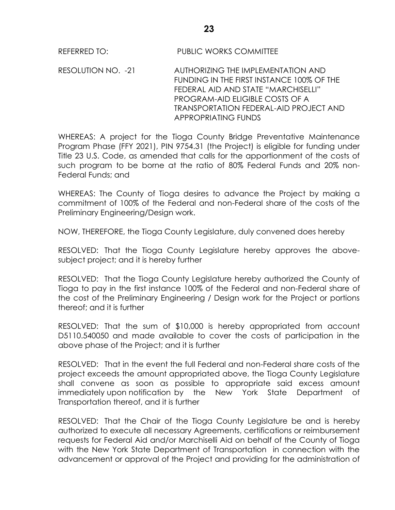REFERRED TO: PUBLIC WORKS COMMITTEE

RESOLUTION NO. -21 AUTHORIZING THE IMPLEMENTATION AND FUNDING IN THE FIRST INSTANCE 100% OF THE FEDERAL AID AND STATE "MARCHISELLI" PROGRAM-AID ELIGIBLE COSTS OF A TRANSPORTATION FEDERAL-AID PROJECT AND APPROPRIATING FUNDS

WHEREAS: A project for the Tioga County Bridge Preventative Maintenance Program Phase (FFY 2021), PIN 9754.31 (the Project) is eligible for funding under Title 23 U.S. Code, as amended that calls for the apportionment of the costs of such program to be borne at the ratio of 80% Federal Funds and 20% non-Federal Funds; and

WHEREAS: The County of Tioga desires to advance the Project by making a commitment of 100% of the Federal and non-Federal share of the costs of the Preliminary Engineering/Design work.

NOW, THEREFORE, the Tioga County Legislature, duly convened does hereby

RESOLVED: That the Tioga County Legislature hereby approves the abovesubject project; and it is hereby further

RESOLVED: That the Tioga County Legislature hereby authorized the County of Tioga to pay in the first instance 100% of the Federal and non-Federal share of the cost of the Preliminary Engineering / Design work for the Project or portions thereof; and it is further

RESOLVED: That the sum of \$10,000 is hereby appropriated from account D5110.540050 and made available to cover the costs of participation in the above phase of the Project; and it is further

RESOLVED: That in the event the full Federal and non-Federal share costs of the project exceeds the amount appropriated above, the Tioga County Legislature shall convene as soon as possible to appropriate said excess amount immediately upon notification by the New York State Department of Transportation thereof, and it is further

RESOLVED: That the Chair of the Tioga County Legislature be and is hereby authorized to execute all necessary Agreements, certifications or reimbursement requests for Federal Aid and/or Marchiselli Aid on behalf of the County of Tioga with the New York State Department of Transportation in connection with the advancement or approval of the Project and providing for the administration of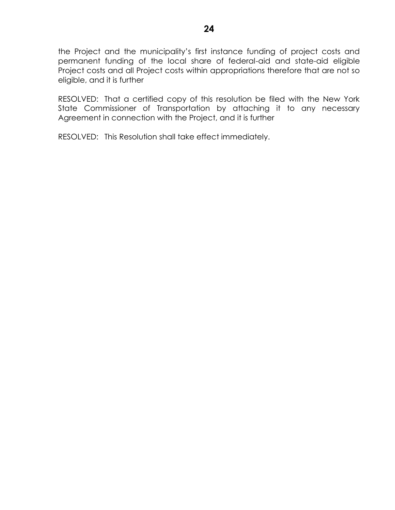the Project and the municipality's first instance funding of project costs and permanent funding of the local share of federal-aid and state-aid eligible Project costs and all Project costs within appropriations therefore that are not so eligible, and it is further

RESOLVED: That a certified copy of this resolution be filed with the New York State Commissioner of Transportation by attaching it to any necessary Agreement in connection with the Project, and it is further

RESOLVED: This Resolution shall take effect immediately.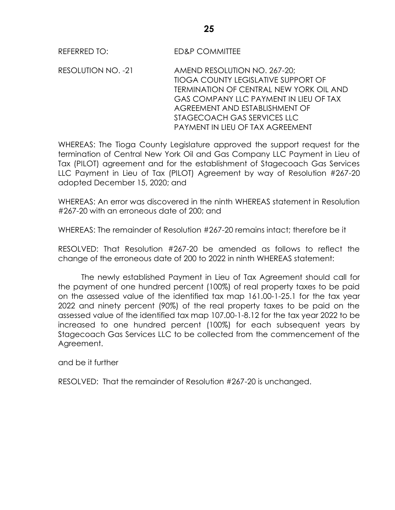REFERRED TO: ED&P COMMITTEE

RESOLUTION NO. -21 AMEND RESOLUTION NO. 267-20; TIOGA COUNTY LEGISLATIVE SUPPORT OF TERMINATION OF CENTRAL NEW YORK OIL AND GAS COMPANY LLC PAYMENT IN LIEU OF TAX AGREEMENT AND ESTABLISHMENT OF STAGECOACH GAS SERVICES LLC PAYMENT IN LIEU OF TAX AGREEMENT

WHEREAS: The Tioga County Legislature approved the support request for the termination of Central New York Oil and Gas Company LLC Payment in Lieu of Tax (PILOT) agreement and for the establishment of Stagecoach Gas Services LLC Payment in Lieu of Tax (PILOT) Agreement by way of Resolution #267-20 adopted December 15, 2020; and

WHEREAS: An error was discovered in the ninth WHEREAS statement in Resolution #267-20 with an erroneous date of 200; and

WHEREAS: The remainder of Resolution #267-20 remains intact; therefore be it

RESOLVED: That Resolution #267-20 be amended as follows to reflect the change of the erroneous date of 200 to 2022 in ninth WHEREAS statement:

The newly established Payment in Lieu of Tax Agreement should call for the payment of one hundred percent (100%) of real property taxes to be paid on the assessed value of the identified tax map 161.00-1-25.1 for the tax year 2022 and ninety percent (90%) of the real property taxes to be paid on the assessed value of the identified tax map 107.00-1-8.12 for the tax year 2022 to be increased to one hundred percent (100%) for each subsequent years by Stagecoach Gas Services LLC to be collected from the commencement of the Agreement.

and be it further

RESOLVED: That the remainder of Resolution #267-20 is unchanged.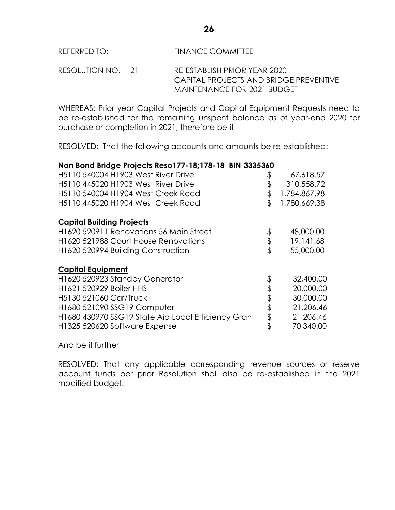# REFERRED TO: FINANCE COMMITTEE

RESOLUTION NO. -21 RE-ESTABLISH PRIOR YEAR 2020 CAPITAL PROJECTS AND BRIDGE PREVENTIVE MAINTENANCE FOR 2021 BUDGET

WHEREAS: Prior year Capital Projects and Capital Equipment Requests need to be re-established for the remaining unspent balance as of year-end 2020 for purchase or completion in 2021; therefore be it

RESOLVED: That the following accounts and amounts be re-established:

# **Non Bond Bridge Projects Reso177-18;178-18 BIN 3335360**

| H5110 540004 H1903 West River Drive                 | \$<br>67,618.57    |
|-----------------------------------------------------|--------------------|
| H5110 445020 H1903 West River Drive                 | \$<br>310,558.72   |
| H5110 540004 H1904 West Creek Road                  | \$<br>1,784,867.98 |
| H5110 445020 H1904 West Creek Road                  | \$<br>1,780,669.38 |
| <b>Capital Building Projects</b>                    |                    |
| H1620 520911 Renovations 56 Main Street             | \$<br>48,000.00    |
| H1620 521988 Court House Renovations                | \$<br>19,141.68    |
| H1620 520994 Building Construction                  | \$<br>55,000.00    |
| <b>Capital Equipment</b>                            |                    |
| H1620 520923 Standby Generator                      | \$<br>32,400.00    |
| H1621 520929 Boiler HHS                             | \$<br>20,000.00    |
| H5130 521060 Car/Truck                              | \$<br>30,000.00    |
| H1680 521090 SSG19 Computer                         | \$<br>21,206.46    |
| H1680 430970 SSG19 State Aid Local Efficiency Grant | \$<br>21,206.46    |
| H1325 520620 Software Expense                       | \$<br>70,340.00    |

And be it further

RESOLVED: That any applicable corresponding revenue sources or reserve account funds per prior Resolution shall also be re-established in the 2021 modified budget.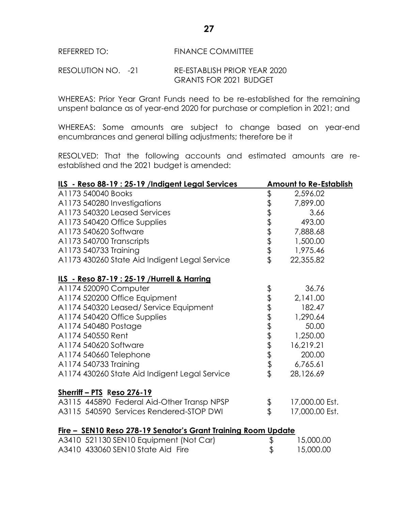# REFERRED TO: FINANCE COMMITTEE

#### RESOLUTION NO. -21 RE-ESTABLISH PRIOR YEAR 2020 GRANTS FOR 2021 BUDGET

WHEREAS: Prior Year Grant Funds need to be re-established for the remaining unspent balance as of year-end 2020 for purchase or completion in 2021; and

WHEREAS: Some amounts are subject to change based on year-end encumbrances and general billing adjustments; therefore be it

RESOLVED: That the following accounts and estimated amounts are reestablished and the 2021 budget is amended:

| ILS - Reso 88-19 : 25-19 /Indigent Legal Services             |          | <b>Amount to Re-Establish</b> |
|---------------------------------------------------------------|----------|-------------------------------|
| A1173 540040 Books                                            | \$       | 2,596.02                      |
| A1173 540280 Investigations                                   |          | 7,899.00                      |
| A1173 540320 Leased Services                                  |          | 3.66                          |
| A1173 540420 Office Supplies                                  |          | 493.00                        |
| A1173 540620 Software                                         |          | 7,888.68                      |
| A1173 540700 Transcripts                                      | もすますます   | 1,500.00                      |
| A1173 540733 Training                                         |          | 1,975.46                      |
| A1173 430260 State Aid Indigent Legal Service                 |          | 22,355.82                     |
| ILS - Reso 87-19 : 25-19 / Hurrell & Harring                  |          |                               |
| A1174 520090 Computer                                         |          | 36.76                         |
| A1174 520200 Office Equipment                                 |          | 2,141.00                      |
| A1174 540320 Leased/ Service Equipment                        |          | 182.47                        |
| A1174 540420 Office Supplies                                  |          | 1,290.64                      |
| A1174 540480 Postage                                          |          | 50.00                         |
| A1174 540550 Rent                                             |          | 1,250.00                      |
| A1174 540620 Software                                         |          | 16,219.21                     |
| A1174 540660 Telephone                                        |          | 200.00                        |
| A1174 540733 Training                                         |          | 6,765.61                      |
| A1174 430260 State Aid Indigent Legal Service                 |          | 28,126.69                     |
| <u> Sherriff – PTS</u> Reso 276-19                            |          |                               |
| A3115 445890 Federal Aid-Other Transp NPSP                    |          | 17,000.00 Est.                |
| A3115 540590 Services Rendered-STOP DWI                       | \$<br>\$ | 17,000.00 Est.                |
| Fire - SEN10 Reso 278-19 Senator's Grant Training Room Update |          |                               |
| A3410 521130 SEN10 Equipment (Not Car)                        | \$       | 15,000.00                     |
| A3410 433060 SEN10 State Aid Fire                             | \$       | 15,000.00                     |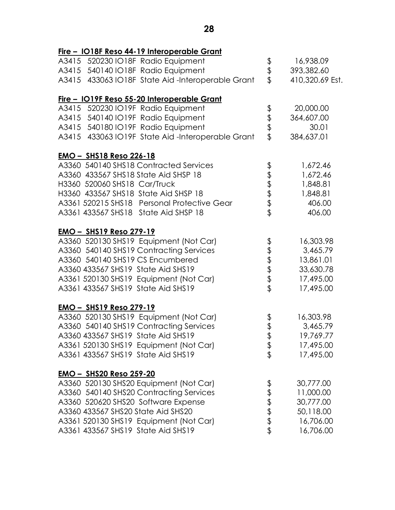|                                                  | 16,938.09                                                        |
|--------------------------------------------------|------------------------------------------------------------------|
|                                                  | 393,382.60                                                       |
| A3415 433063 IO18F State Aid-Interoperable Grant | 410,320.69 Est.                                                  |
|                                                  |                                                                  |
|                                                  | 20,000.00                                                        |
|                                                  | 364,607.00                                                       |
|                                                  | 30.01                                                            |
| A3415 433063 IO19F State Aid-Interoperable Grant | 384,637.01                                                       |
|                                                  |                                                                  |
|                                                  | 1,672.46                                                         |
|                                                  | 1,672.46                                                         |
|                                                  | 1,848.81                                                         |
|                                                  | 1,848.81                                                         |
|                                                  | 406.00                                                           |
|                                                  | 406.00                                                           |
|                                                  |                                                                  |
|                                                  | 16,303.98                                                        |
|                                                  | 3,465.79                                                         |
|                                                  | 13,861.01                                                        |
|                                                  | 33,630.78                                                        |
|                                                  | 17,495.00                                                        |
|                                                  | 17,495.00                                                        |
|                                                  |                                                                  |
|                                                  | 16,303.98                                                        |
|                                                  | 3,465.79                                                         |
|                                                  | 19,769.77                                                        |
|                                                  | 17,495.00                                                        |
|                                                  | 17,495.00                                                        |
|                                                  |                                                                  |
|                                                  | 30,777.00                                                        |
|                                                  | 11,000.00                                                        |
|                                                  | 30,777.00                                                        |
|                                                  | 50,118.00                                                        |
|                                                  | 16,706.00                                                        |
|                                                  | 16,706.00                                                        |
|                                                  | \$\$\$<br>すます<br>もまままま<br>もまままま<br>\$<br>\$<br>\$<br>\$<br>もまままま |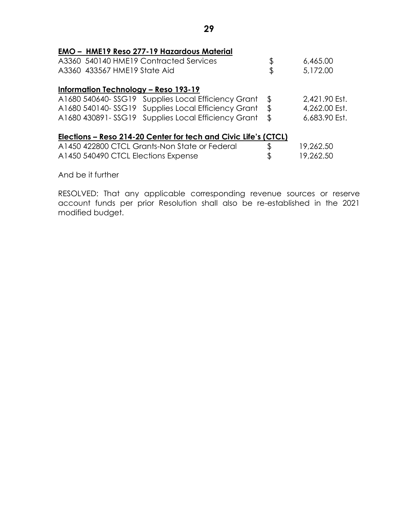|  | <b>EMO - HME19 Reso 277-19 Hazardous Material</b>               |                |               |
|--|-----------------------------------------------------------------|----------------|---------------|
|  | A3360 540140 HME19 Contracted Services                          | \$             | 6,465.00      |
|  | A3360 433567 HME19 State Aid                                    | \$             | 5,172.00      |
|  | <b>Information Technology - Reso 193-19</b>                     |                |               |
|  | A1680 540640-SSG19 Supplies Local Efficiency Grant              | \$             | 2,421.90 Est. |
|  | A1680 540140-SSG19 Supplies Local Efficiency Grant              | $\mathfrak{P}$ | 4,262.00 Est. |
|  | A1680 430891-SSG19 Supplies Local Efficiency Grant              | \$             | 6,683.90 Est. |
|  | Elections – Reso 214-20 Center for tech and Civic Life's (CTCL) |                |               |
|  | A1450 422800 CTCL Grants-Non State or Federal                   |                | 19,262.50     |
|  | A1450 540490 CTCL Elections Expense                             | \$             | 19,262.50     |

And be it further

RESOLVED: That any applicable corresponding revenue sources or reserve account funds per prior Resolution shall also be re-established in the 2021 modified budget.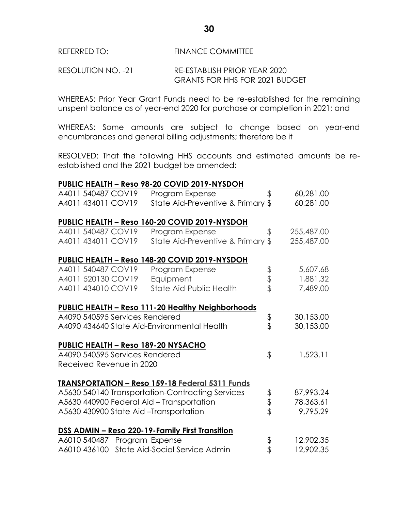# REFERRED TO: FINANCE COMMITTEE

#### RESOLUTION NO. -21 RE-ESTABLISH PRIOR YEAR 2020 GRANTS FOR HHS FOR 2021 BUDGET

WHEREAS: Prior Year Grant Funds need to be re-established for the remaining unspent balance as of year-end 2020 for purchase or completion in 2021; and

WHEREAS: Some amounts are subject to change based on year-end encumbrances and general billing adjustments; therefore be it

RESOLVED: That the following HHS accounts and estimated amounts be reestablished and the 2021 budget be amended:

#### **PUBLIC HEALTH – Reso 98-20 COVID 2019-NYSDOH**

| A4011 540487 COV19<br>Program Expense                    | \$       | 60,281.00  |
|----------------------------------------------------------|----------|------------|
| State Aid-Preventive & Primary \$<br>A4011 434011 COV19  |          | 60,281.00  |
|                                                          |          |            |
| PUBLIC HEALTH - Reso 160-20 COVID 2019-NYSDOH            |          |            |
| A4011 540487 COV19<br>Program Expense                    | \$       | 255,487.00 |
| A4011 434011 COV19<br>State Aid-Preventive & Primary \$  |          | 255,487.00 |
| PUBLIC HEALTH - Reso 148-20 COVID 2019-NYSDOH            |          |            |
| A4011 540487 COV19<br>Program Expense                    |          | 5,607.68   |
| A4011 520130 COV19<br>Equipment                          | \$<br>\$ | 1,881.32   |
| A4011 434010 COV19<br>State Aid-Public Health            |          | 7,489.00   |
|                                                          |          |            |
| <b>PUBLIC HEALTH - Reso 111-20 Healthy Neighborhoods</b> |          |            |
| A4090 540595 Services Rendered                           |          | 30,153.00  |
| A4090 434640 State Aid-Environmental Health              | \$       | 30,153.00  |
| <b>PUBLIC HEALTH - Reso 189-20 NYSACHO</b>               |          |            |
| A4090 540595 Services Rendered                           | \$       | 1,523.11   |
| Received Revenue in 2020                                 |          |            |
|                                                          |          |            |
| <b>TRANSPORTATION - Reso 159-18 Federal 5311 Funds</b>   |          |            |
| A5630 540140 Transportation-Contracting Services         | \$<br>\$ | 87,993.24  |
| A5630 440900 Federal Aid - Transportation                |          | 78,363.61  |
| A5630 430900 State Aid -Transportation                   |          | 9,795.29   |
| DSS ADMIN - Reso 220-19-Family First Transition          |          |            |
| A6010 540487<br>Program Expense                          | \$       | 12,902.35  |
| A6010 436100 State Aid-Social Service Admin              | \$       | 12,902.35  |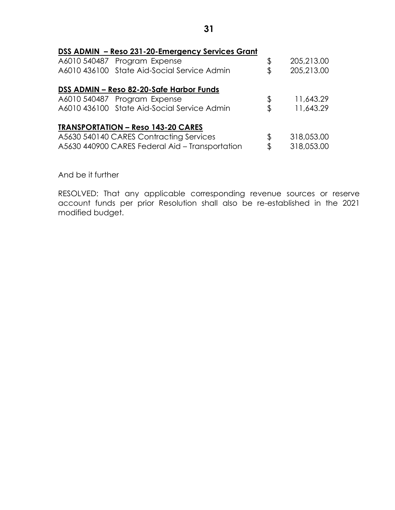| DSS ADMIN - Reso 231-20-Emergency Services Grant |                  |
|--------------------------------------------------|------------------|
| A6010 540487 Program Expense                     | \$<br>205,213.00 |
| A6010 436100 State Aid-Social Service Admin      | \$<br>205,213.00 |
| DSS ADMIN - Reso 82-20-Safe Harbor Funds         |                  |
| A6010 540487 Program Expense                     | \$<br>11,643.29  |
| A6010 436100 State Aid-Social Service Admin      | \$<br>11,643.29  |
| <b>TRANSPORTATION - Reso 143-20 CARES</b>        |                  |
| A5630 540140 CARES Contracting Services          | \$<br>318,053.00 |
| A5630 440900 CARES Federal Aid - Transportation  | \$<br>318,053.00 |

And be it further

RESOLVED: That any applicable corresponding revenue sources or reserve account funds per prior Resolution shall also be re-established in the 2021 modified budget.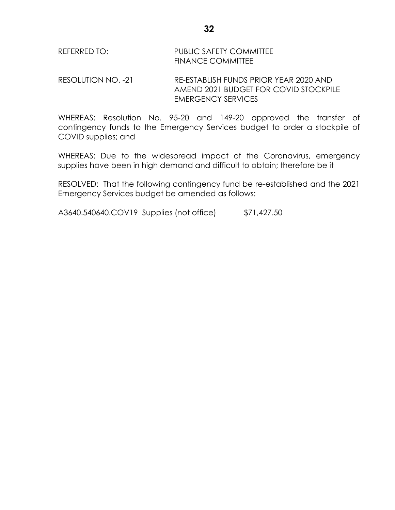# REFERRED TO: PUBLIC SAFETY COMMITTEE FINANCE COMMITTEE

RESOLUTION NO. -21 RE-ESTABLISH FUNDS PRIOR YEAR 2020 AND AMEND 2021 BUDGET FOR COVID STOCKPILE EMERGENCY SERVICES

WHEREAS: Resolution No. 95-20 and 149-20 approved the transfer of contingency funds to the Emergency Services budget to order a stockpile of COVID supplies; and

WHEREAS: Due to the widespread impact of the Coronavirus, emergency supplies have been in high demand and difficult to obtain; therefore be it

RESOLVED: That the following contingency fund be re-established and the 2021 Emergency Services budget be amended as follows:

A3640.540640.COV19 Supplies (not office) \$71,427.50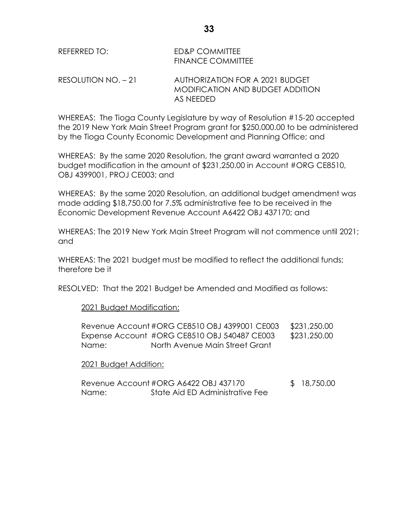| REFERRED TO:          | ED&P COMMITTEE<br>FINANCE COMMITTEE                                 |
|-----------------------|---------------------------------------------------------------------|
| $RESOLUTION NO. - 21$ | AUTHORIZATION FOR A 2021 BUDGET<br>MODIFICATION AND BUDGET ADDITION |

WHEREAS: The Tioga County Legislature by way of Resolution #15-20 accepted the 2019 New York Main Street Program grant for \$250,000.00 to be administered by the Tioga County Economic Development and Planning Office; and

AS NEEDED

WHEREAS: By the same 2020 Resolution, the grant award warranted a 2020 budget modification in the amount of \$231,250.00 in Account #ORG CE8510, OBJ 4399001, PROJ CE003; and

WHEREAS: By the same 2020 Resolution, an additional budget amendment was made adding \$18,750.00 for 7.5% administrative fee to be received in the Economic Development Revenue Account A6422 OBJ 437170; and

WHEREAS: The 2019 New York Main Street Program will not commence until 2021; and

WHEREAS: The 2021 budget must be modified to reflect the additional funds; therefore be it

RESOLVED: That the 2021 Budget be Amended and Modified as follows:

2021 Budget Modification:

|       | Revenue Account#ORG CE8510 OBJ 4399001 CE003 | \$231,250.00 |
|-------|----------------------------------------------|--------------|
|       | Expense Account #ORG CE8510 OBJ 540487 CE003 | \$231,250.00 |
| Name: | North Avenue Main Street Grant               |              |

# 2021 Budget Addition:

|       | Revenue Account#ORG A6422 OBJ 437170 | \$18,750.00 |
|-------|--------------------------------------|-------------|
| Name: | State Aid ED Administrative Fee      |             |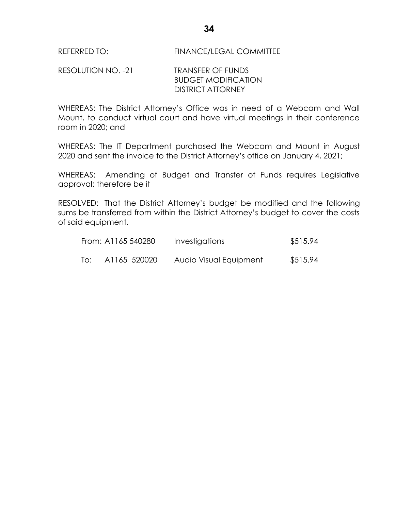#### RESOLUTION NO. -21 TRANSFER OF FUNDS BUDGET MODIFICATION DISTRICT ATTORNEY

WHEREAS: The District Attorney's Office was in need of a Webcam and Wall Mount, to conduct virtual court and have virtual meetings in their conference room in 2020; and

WHEREAS: The IT Department purchased the Webcam and Mount in August 2020 and sent the invoice to the District Attorney's office on January 4, 2021;

WHEREAS: Amending of Budget and Transfer of Funds requires Legislative approval; therefore be it

RESOLVED: That the District Attorney's budget be modified and the following sums be transferred from within the District Attorney's budget to cover the costs of said equipment.

|     | From: A1165 540280 | Investigations         | \$515.94 |
|-----|--------------------|------------------------|----------|
| To: | A1165 520020       | Audio Visual Equipment | \$515.94 |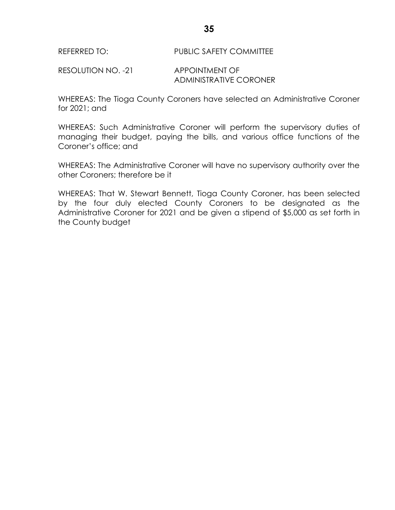RESOLUTION NO. -21 APPOINTMENT OF ADMINISTRATIVE CORONER

WHEREAS: The Tioga County Coroners have selected an Administrative Coroner for 2021; and

WHEREAS: Such Administrative Coroner will perform the supervisory duties of managing their budget, paying the bills, and various office functions of the Coroner's office; and

WHEREAS: The Administrative Coroner will have no supervisory authority over the other Coroners; therefore be it

WHEREAS: That W. Stewart Bennett, Tioga County Coroner, has been selected by the four duly elected County Coroners to be designated as the Administrative Coroner for 2021 and be given a stipend of \$5,000 as set forth in the County budget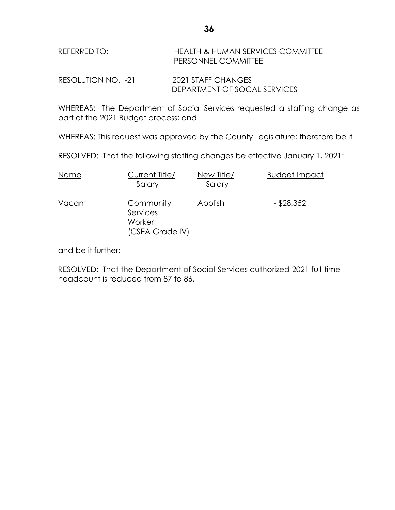| REFERRED TO: | HEALTH & HUMAN SERVICES COMMITTEE |
|--------------|-----------------------------------|
|              | <b>PERSONNEL COMMITTEE</b>        |
|              |                                   |

RESOLUTION NO. -21 2021 STAFF CHANGES DEPARTMENT OF SOCAL SERVICES

WHEREAS: The Department of Social Services requested a staffing change as part of the 2021 Budget process; and

WHEREAS: This request was approved by the County Legislature; therefore be it

RESOLVED: That the following staffing changes be effective January 1, 2021:

| Name   | Current Title/<br>Salary                           | New Title/<br>Salary | <b>Budget Impact</b> |
|--------|----------------------------------------------------|----------------------|----------------------|
| Vacant | Community<br>Services<br>Worker<br>(CSEA Grade IV) | <b>Abolish</b>       | $-$ \$28,352         |

and be it further:

RESOLVED: That the Department of Social Services authorized 2021 full-time headcount is reduced from 87 to 86.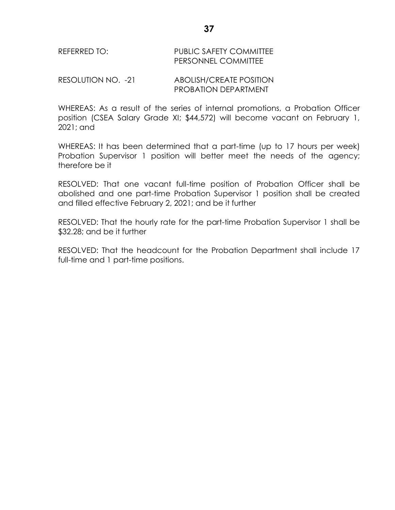# REFERRED TO: PUBLIC SAFETY COMMITTEE PERSONNEL COMMITTEE

RESOLUTION NO. -21 ABOLISH/CREATE POSITION PROBATION DEPARTMENT

WHEREAS: As a result of the series of internal promotions, a Probation Officer position (CSEA Salary Grade XI; \$44,572) will become vacant on February 1, 2021; and

WHEREAS: It has been determined that a part-time (up to 17 hours per week) Probation Supervisor 1 position will better meet the needs of the agency; therefore be it

RESOLVED: That one vacant full-time position of Probation Officer shall be abolished and one part-time Probation Supervisor 1 position shall be created and filled effective February 2, 2021; and be it further

RESOLVED: That the hourly rate for the part-time Probation Supervisor 1 shall be \$32.28; and be it further

RESOLVED: That the headcount for the Probation Department shall include 17 full-time and 1 part-time positions.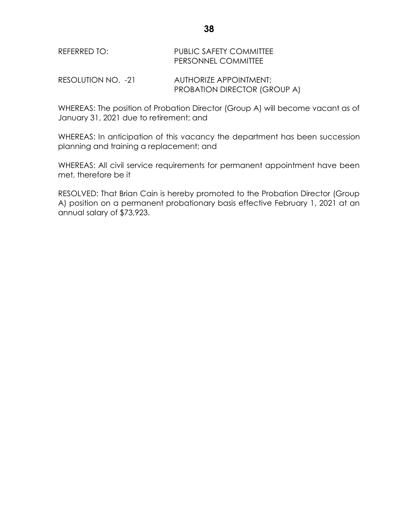| REFERRED TO: | <b>PUBLIC SAFETY COMMITTEE</b> |
|--------------|--------------------------------|
|              | <b>PERSONNEL COMMITTEE</b>     |
|              |                                |

RESOLUTION NO. -21 AUTHORIZE APPOINTMENT: PROBATION DIRECTOR (GROUP A)

WHEREAS: The position of Probation Director (Group A) will become vacant as of January 31, 2021 due to retirement; and

WHEREAS: In anticipation of this vacancy the department has been succession planning and training a replacement; and

WHEREAS: All civil service requirements for permanent appointment have been met, therefore be it

RESOLVED: That Brian Cain is hereby promoted to the Probation Director (Group A) position on a permanent probationary basis effective February 1, 2021 at an annual salary of \$73,923.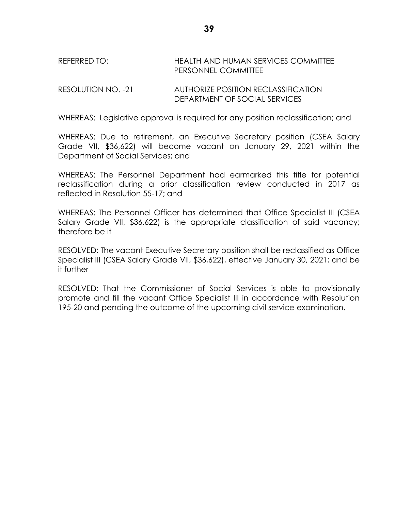REFERRED TO: HEALTH AND HUMAN SERVICES COMMITTEE PERSONNEL COMMITTEE

RESOLUTION NO. -21 AUTHORIZE POSITION RECLASSIFICATION DEPARTMENT OF SOCIAL SERVICES

WHEREAS: Legislative approval is required for any position reclassification; and

WHEREAS: Due to retirement, an Executive Secretary position (CSEA Salary Grade VII, \$36,622) will become vacant on January 29, 2021 within the Department of Social Services; and

WHEREAS: The Personnel Department had earmarked this title for potential reclassification during a prior classification review conducted in 2017 as reflected in Resolution 55-17; and

WHEREAS: The Personnel Officer has determined that Office Specialist III (CSEA Salary Grade VII, \$36,622) is the appropriate classification of said vacancy; therefore be it

RESOLVED: The vacant Executive Secretary position shall be reclassified as Office Specialist III (CSEA Salary Grade VII, \$36,622), effective January 30, 2021; and be it further

RESOLVED: That the Commissioner of Social Services is able to provisionally promote and fill the vacant Office Specialist III in accordance with Resolution 195-20 and pending the outcome of the upcoming civil service examination.